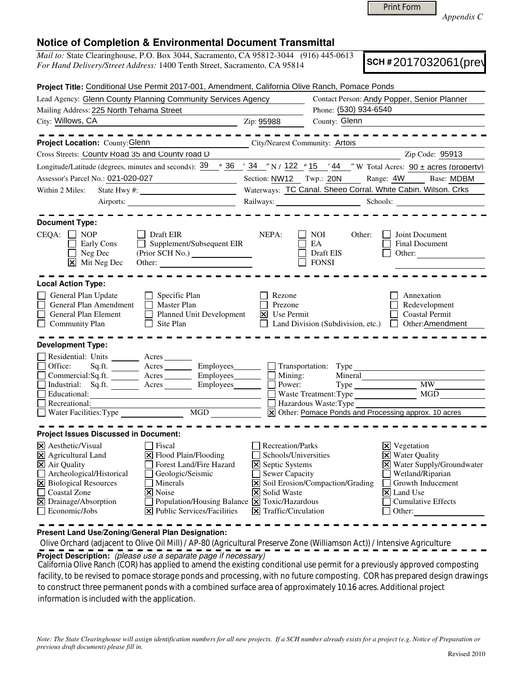| <b>Print Form</b> |
|-------------------|
|-------------------|

*Appendix C* 

## **Notice of Completion & Environmental Document Transmittal**

*Mail to:* State Clearinghouse, P.O. Box 3044, Sacramento, CA 95812-3044 (916) 445-0613 *For Hand Delivery/Street Address:* 1400 Tenth Street, Sacramento, CA 95814

**SCH #** 2017032061(prev)

| Project Title: Conditional Use Permit 2017-001, Amendment, California Olive Ranch, Pomace Ponds                                                                                                                                                                                                                                |                                                                                                                                        |                                                               |                                                                                                               |  |  |
|--------------------------------------------------------------------------------------------------------------------------------------------------------------------------------------------------------------------------------------------------------------------------------------------------------------------------------|----------------------------------------------------------------------------------------------------------------------------------------|---------------------------------------------------------------|---------------------------------------------------------------------------------------------------------------|--|--|
| Lead Agency: Glenn County Planning Community Services Agency                                                                                                                                                                                                                                                                   | Contact Person: Andy Popper, Senior Planner                                                                                            |                                                               |                                                                                                               |  |  |
| Mailing Address: 225 North Tehama Street                                                                                                                                                                                                                                                                                       |                                                                                                                                        | Phone: (530) 934-6540                                         |                                                                                                               |  |  |
| City: Willows, CA                                                                                                                                                                                                                                                                                                              | Zip: 95988                                                                                                                             | County: Glenn                                                 |                                                                                                               |  |  |
| Project Location: County: Glenn                                                                                                                                                                                                                                                                                                |                                                                                                                                        | City/Nearest Community: Artois                                |                                                                                                               |  |  |
| Cross Streets: Countv Road 35 and Countv road D                                                                                                                                                                                                                                                                                |                                                                                                                                        |                                                               | Zip Code: 95913                                                                                               |  |  |
| Longitude/Latitude (degrees, minutes and seconds): $\frac{39}{9}$ $\frac{36}{1}$ $\frac{34}{1}$ $\frac{7}{1}$ N / $\frac{122}{1}$ $\frac{9}{15}$ $\frac{15}{44}$ $\frac{7}{1}$ W Total Acres: 90 ± acres (property)                                                                                                            |                                                                                                                                        |                                                               |                                                                                                               |  |  |
| Assessor's Parcel No.: 021-020-027<br><u> 1989 - Johann Barbara, martxa a</u>                                                                                                                                                                                                                                                  |                                                                                                                                        |                                                               | Section: NW12 Twp.: 20N Range: 4W Base: MDBM                                                                  |  |  |
| Within 2 Miles:                                                                                                                                                                                                                                                                                                                |                                                                                                                                        | Waterways: TC Canal. Sheep Corral. White Cabin. Wilson. Crks  |                                                                                                               |  |  |
| Airports:                                                                                                                                                                                                                                                                                                                      |                                                                                                                                        |                                                               |                                                                                                               |  |  |
| <b>Document Type:</b><br>$CEQA: \Box NP$<br>Draft EIR<br>Supplement/Subsequent EIR<br>Early Cons<br>Neg Dec<br>$\boxed{\mathsf{x}}$ Mit Neg Dec                                                                                                                                                                                | NEPA:                                                                                                                                  | NOI.<br>Other:<br>EA<br>Draft EIS<br><b>FONSI</b>             | Joint Document<br>Final Document<br>Other:                                                                    |  |  |
| <b>Local Action Type:</b><br>General Plan Update<br>$\Box$<br>Specific Plan<br>General Plan Amendment<br><b>Master Plan</b><br>$\perp$<br>Planned Unit Development<br>General Plan Element<br>$\perp$<br>Site Plan<br><b>Community Plan</b>                                                                                    | Rezone<br>Prezone<br>$ \mathsf{X} $ Use Permit                                                                                         |                                                               | Annexation<br>Redevelopment<br><b>Coastal Permit</b><br>□ Land Division (Subdivision, etc.) □ Other:Amendment |  |  |
| <b>Development Type:</b><br>Residential: Units _______ Acres<br>Sq.ft. ________ Acres __________ Employees ________ _ Transportation: Type _____<br>Office:<br>Commercial:Sq.ft. ________ Acres ________ Employees_______<br>Industrial: Sq.ft. Acres Employees<br>Educational:<br>Recreational:<br>Water Facilities: Type MGD | $\Box$ Mining:<br>Power:                                                                                                               | Mineral<br>Waste Treatment: Type MGD<br>Hazardous Waste: Type | Type MW MW<br>X Other: Pomace Ponds and Processing approx. 10 acres                                           |  |  |
| <b>Project Issues Discussed in Document:</b><br>X Aesthetic/Visual<br>Fiscal<br>X Agricultural Land<br>X Flood Plain/Flooding<br>X Air Quality<br>Forest Land/Fire Hazard<br>Geologic/Seismic                                                                                                                                  | Recreation/Parks<br>Schools/Universities<br><b>X</b> Septic Systems<br><b>Sewer Capacity</b>                                           |                                                               | $\boxtimes$ Vegetation<br><b>X</b> Water Quality<br>X Water Supply/Groundwater<br>Wetland/Riparian            |  |  |
| Archeological/Historical<br>X Biological Resources<br>  Minerals<br>□ Coastal Zone<br>$\overline{\mathsf{x}}$ Noise<br>X Drainage/Absorption<br>$\Box$ Economic/Jobs<br><b>X</b> Public Services/Facilities                                                                                                                    | <b>X</b> Solid Waste<br>Population/Housing Balance $\boxed{\mathsf{X}}$ Toxic/Hazardous<br>$\overline{\mathsf{X}}$ Traffic/Circulation | X Soil Erosion/Compaction/Grading                             | Growth Inducement<br>$ \mathsf{X} $ Land Use<br><b>Cumulative Effects</b><br>Other:                           |  |  |

**Present Land Use/Zoning/General Plan Designation:**

**Project Description:** (please use a separate page if necessary) Olive Orchard (adjacent to Olive Oil Mill) / AP-80 (Agricultural Preserve Zone (Williamson Act)) / Intensive Agriculture

 California Olive Ranch (COR) has applied to amend the existing conditional use permit for a previously approved composting facility, to be revised to pomace storage ponds and processing, with no future composting. COR has prepared design drawings to construct three permanent ponds with a combined surface area of approximately 10.16 acres. Additional project information is included with the application.